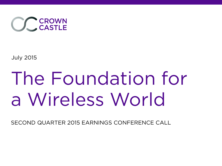

July 2015

## The Foundation for a Wireless World

SECOND QUARTER 2015 EARNINGS CONFERENCE CALL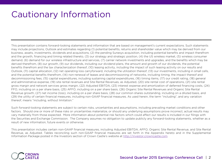## Cautionary Information

This presentation contains forward-looking statements and information that are based on management's current expectations. Such statements may include projections, Outlook and estimates regarding (1) potential benefits, returns and shareholder value which may be derived from our business, assets, investments, dividends and acquisitions, (2) the pending Sunesys acquisition, including potential benefits and impact therefrom and the growth, financing and timing related thereto, (3) our strategy and strategic position, (4) the US wireless market, (5) wireless consumer demand, (6) demand for our wireless infrastructure and services, (7) carrier network investments and upgrades, and the benefits which may be derived therefrom, (8) our growth, (9) our dividends, including our dividend plans, the amount and growth of our dividends, the potential benefits therefrom and the tax characterization thereof, (10) leasing activity, including the impact of such leasing activity on our results and Outlook, (11) capital allocation, (12) net operating loss carryforward, including the utilization thereof, (13) our investments, including in small cells, and the potential benefits therefrom, (14) non-renewal of leases and decommissioning of networks, including timing, the impact thereof and decommissioning fees, (15) capital expenditures, including sustaining capital expenditures, (16) timing items, (17) our credit rating, (18) general and administrative expense, (19) site rental revenues and Site Rental Revenues, as Adjusted, (20) site rental cost of operations, (21) site rental gross margin and network services gross margin, (22) Adjusted EBITDA, (23) interest expense and amortization of deferred financing costs, (24) FFO, including on a per share basis, (25) AFFO, including on a per share basis, (26) Organic Site Rental Revenues and Organic Site Rental Revenue growth, (27) net income (loss), including on a per share basis, (28) our common shares outstanding, including on a diluted basis, and (29) the utility of certain financial measures, including non-GAAP financial measures. As used herein, the term "including", and any variation thereof, means "including, without limitation."

Such forward-looking statements are subject to certain risks, uncertainties and assumptions, including prevailing market conditions and other factors. Should one or more of these risks or uncertainties materialize, or should any underlying assumptions prove incorrect, actual results may vary materially from those expected. More information about potential risk factors which could affect our results is included in our filings with the Securities and Exchange Commission. The Company assumes no obligation to update publicly any forward-looking statements, whether as a result of new information, future events or otherwise.

This presentation includes certain non-GAAP financial measures, including Adjusted EBITDA, AFFO, Organic Site Rental Revenue, and Site Rental Revenue, as Adjusted. Tables reconciling such non-GAAP financial measures are set forth in the Appendix hereto and in the Supplemental Information Package posted in the Investors section of Crown Castle's website at http://investor.crowncastle.com.

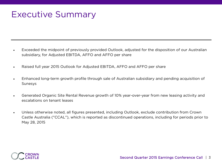## Executive Summary

- Exceeded the midpoint of previously provided Outlook, adjusted for the disposition of our Australian subsidiary, for Adjusted EBITDA, AFFO and AFFO per share
- Raised full year 2015 Outlook for Adjusted EBITDA, AFFO and AFFO per share
- Enhanced long-term growth profile through sale of Australian subsidiary and pending acquisition of Sunesys
- Generated Organic Site Rental Revenue growth of 10% year-over-year from new leasing activity and escalations on tenant leases
- Unless otherwise noted, all figures presented, including Outlook, exclude contribution from Crown Castle Australia ("CCAL"), which is reported as discontinued operations, including for periods prior to May 28, 2015

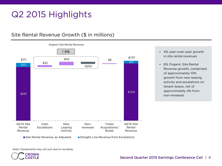## Q2 2015 Highlights

#### Site Rental Revenue Growth (\$ in millions)



- 4% year-over-year growth in site rental revenues
- 6% Organic Site Rental Revenue growth, comprised of approximately 10% growth from new leasing activity and escalations on tenant leases, net of approximately 4% from non-renewals

Note: Components may not sum due to rounding

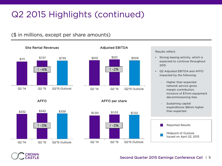## Q2 2015 Highlights (continued)

#### (\$ in millions, except per share amounts)



\$510 \$521 \$509

#### Results reflect:

- Strong leasing activity, which is expected to continue throughout 2015
- Q2 Adjusted EBITDA and AFFO impacted by the following:
	- Higher than expected network service gross margin contribution, inclusive of \$7mm equipment decommissioning fees
	- Sustaining capital expenditures \$8mm higher than expected







Q2 '14 Q2 '15 Q2'15 Outlook



Second Quarter 2015 Earnings Conference Call | 5

#### Site Rental Revenues Adjusted EBITDA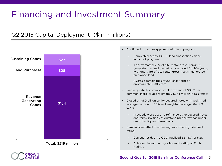## Financing and Investment Summary

#### Q2 2015 Capital Deployment (\$ in millions)





• Continued proactive approach with land program

Achieved investment grade credit rating at Fitch Ratings

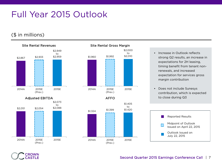## Full Year 2015 Outlook

#### (\$ in millions)





- Increase in Outlook reflects strong Q2 results, an increase in expectations for 2H leasing, timing benefit from tenant nonrenewals, and increased expectation for services gross margin contribution
- Does not include Sunesys contribution, which is expected to close during Q3



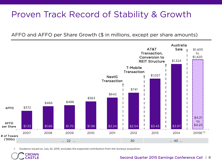## Proven Track Record of Stability & Growth

AFFO and AFFO per Share Growth (\$ in millions, except per share amounts)



1. Guidance issued on July 22, 2015; excludes the expected contribution from the Sunesys acquisition

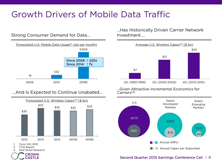## Growth Drivers of Mobile Data Traffic

#### Strong Consumer Demand for Data…



#### …And Is Expected to Continue Unabated…



- 2. CTIA Report
- 3. Wall Street Research



…Has Historically Driven Carrier Network Investment….



…Given Attractive Incremental Economics for Carriers(3)



#### Second Quarter 2015 Earnings Conference Call | 9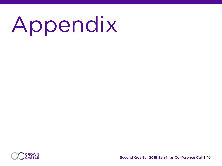# Appendix

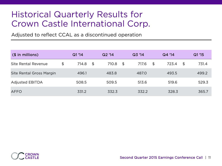### Historical Quarterly Results for Crown Castle International Corp.

Adjusted to reflect CCAL as a discontinued operation

| $($$ in millions)               | Q1'14       | Q2'14       | Q3'14       | Q4 '14      |                | Q1 '15 |
|---------------------------------|-------------|-------------|-------------|-------------|----------------|--------|
| Site Rental Revenue             | \$<br>714.8 | \$<br>710.8 | \$<br>717.6 | \$<br>723.4 | $\mathfrak{P}$ | 731.4  |
| <b>Site Rental Gross Margin</b> | 496.1       | 483.8       | 487.0       | 493.5       |                | 499.2  |
| <b>Adjusted EBITDA</b>          | 508.5       | 509.5       | 513.6       | 519.6       |                | 529.3  |
| <b>AFFO</b>                     | 331.2       | 332.3       | 332.2       | 328.3       |                | 365.7  |

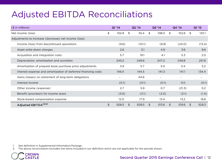## Adjusted EBITDA Reconciliations

| $($$ in millions)                                             |                | Q1'14 |     | Q2'14  |                | Q3'14 |    | Q4 '14                   |     | Q1'15  |  |
|---------------------------------------------------------------|----------------|-------|-----|--------|----------------|-------|----|--------------------------|-----|--------|--|
| Net income (loss)                                             | \$             | 102.8 | \$. | 35.4   | \$             | 108.0 | \$ | 152.6                    | \$. | 125.1  |  |
| Adjustments to increase (decrease) net income (loss):         |                |       |     |        |                |       |    |                          |     |        |  |
| Income (loss) from discontinued operations                    |                | (9.6) |     | (10.1) |                | (8.9) |    | (24.0)                   |     | (13.4) |  |
| Asset write-down charges                                      |                | 2.6   |     | 3.1    |                | 4.9   |    | 3.6                      |     | 8.6    |  |
| Acquisition and integration costs                             |                | 5.7   |     | 19.1   |                | 4.1   |    | 5.3                      |     | 2.0    |  |
| Depreciation, amortization and accretion                      |                | 245.2 |     | 246.6  |                | 247.2 |    | 246.8                    |     | 251.8  |  |
| Amortization of prepaid lease purchase price adjustments      |                | 3.9   |     | 5.7    |                | 5.0   |    | 5.4                      |     | 5.2    |  |
| Interest expense and amortization of deferred financing costs |                | 146.4 |     | 144.5  |                | 141.3 |    | 141.1                    |     | 134.4  |  |
| Gains (losses) on retirement of long-term obligations         |                |       |     | 44.6   |                |       |    | $\overline{\phantom{a}}$ |     | $\sim$ |  |
| Interest income                                               |                | (0.1) |     | (0.1)  |                | (0.1) |    | 0.0                      |     | (0.1)  |  |
| Other income (expense)                                        |                | 2.7   |     | 5.9    |                | 0.7   |    | (21.3)                   |     | 0.2    |  |
| Benefit (provision) for income taxes                          |                | (3.0) |     | (3.1)  |                | (2.0) |    | (3.1)                    |     | (1.4)  |  |
| Stock-based compensation expense                              |                | 12.0  |     | 17.9   |                | 13.4  |    | 13.2                     |     | 16.8   |  |
| Adjusted EBITDA <sup>(1)(2)</sup>                             | $\mathfrak{L}$ | 508.5 | \$  | 509.5  | $\mathfrak{L}$ | 513.6 | \$ | 519.6                    | \$  | 529.3  |  |

1. See definition in Supplemental Information Package.

2. The above reconciliation excludes line items included in our definition which are not applicable for the periods shown.